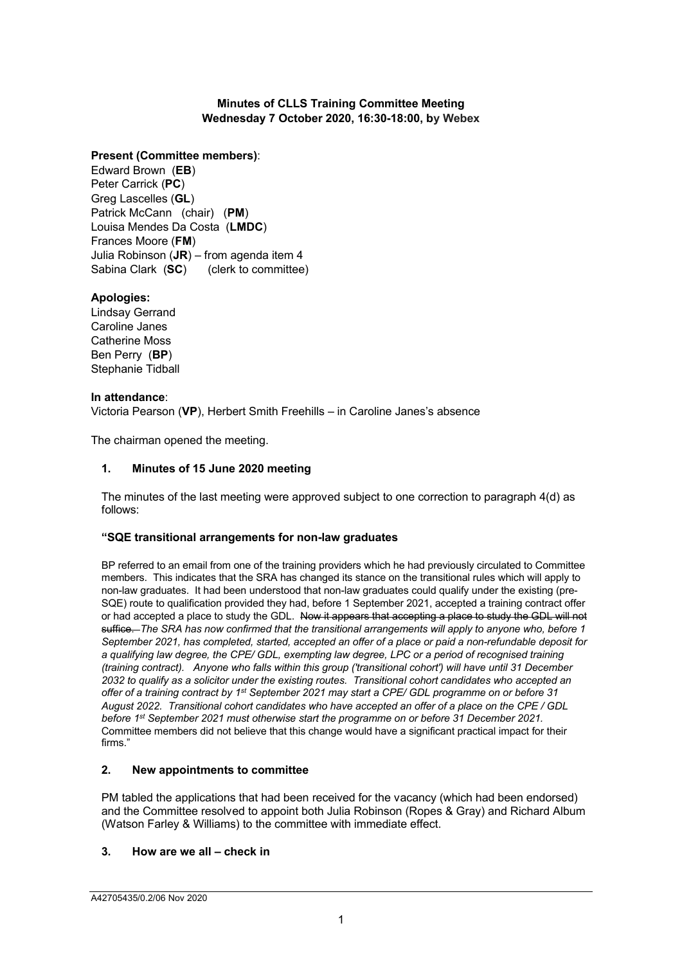## **Minutes of CLLS Training Committee Meeting Wednesday 7 October 2020, 16:30-18:00, by Webex**

## **Present (Committee members)**:

Edward Brown (**EB**) Peter Carrick (**PC**) Greg Lascelles (**GL**) Patrick McCann (chair) (**PM**) Louisa Mendes Da Costa (**LMDC**) Frances Moore (**FM**) Julia Robinson (**JR**) – from agenda item 4 Sabina Clark (**SC**) (clerk to committee)

# **Apologies:**

Lindsay Gerrand Caroline Janes Catherine Moss Ben Perry (**BP**) Stephanie Tidball

## **In attendance**:

Victoria Pearson (**VP**), Herbert Smith Freehills – in Caroline Janes's absence

The chairman opened the meeting.

## **1. Minutes of 15 June 2020 meeting**

The minutes of the last meeting were approved subject to one correction to paragraph 4(d) as follows:

## **"SQE transitional arrangements for non-law graduates**

BP referred to an email from one of the training providers which he had previously circulated to Committee members. This indicates that the SRA has changed its stance on the transitional rules which will apply to non-law graduates. It had been understood that non-law graduates could qualify under the existing (pre-SQE) route to qualification provided they had, before 1 September 2021, accepted a training contract offer or had accepted a place to study the GDL. Now it appears that accepting a place to study the GDL will not suffice. *The SRA has now confirmed that the transitional arrangements will apply to anyone who, before 1 September 2021, has completed, started, accepted an offer of a place or paid a non-refundable deposit for a qualifying law degree, the CPE/ GDL, exempting law degree, LPC or a period of recognised training (training contract). Anyone who falls within this group ('transitional cohort') will have until 31 December 2032 to qualify as a solicitor under the existing routes. Transitional cohort candidates who accepted an offer of a training contract by 1st September 2021 may start a CPE/ GDL programme on or before 31 August 2022. Transitional cohort candidates who have accepted an offer of a place on the CPE / GDL before 1st September 2021 must otherwise start the programme on or before 31 December 2021.* Committee members did not believe that this change would have a significant practical impact for their firms."

## **2. New appointments to committee**

PM tabled the applications that had been received for the vacancy (which had been endorsed) and the Committee resolved to appoint both Julia Robinson (Ropes & Gray) and Richard Album (Watson Farley & Williams) to the committee with immediate effect.

## **3. How are we all – check in**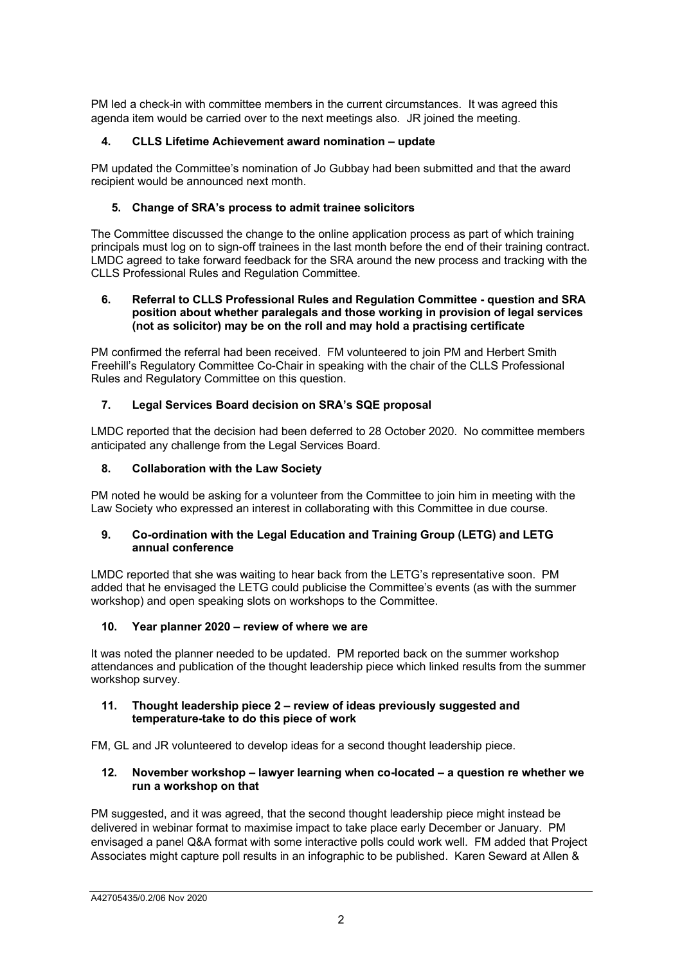PM led a check-in with committee members in the current circumstances. It was agreed this agenda item would be carried over to the next meetings also. JR joined the meeting.

# **4. CLLS Lifetime Achievement award nomination – update**

PM updated the Committee's nomination of Jo Gubbay had been submitted and that the award recipient would be announced next month.

## **5. Change of SRA's process to admit trainee solicitors**

The Committee discussed the change to the online application process as part of which training principals must log on to sign-off trainees in the last month before the end of their training contract. LMDC agreed to take forward feedback for the SRA around the new process and tracking with the CLLS Professional Rules and Regulation Committee.

#### **6. Referral to CLLS Professional Rules and Regulation Committee - question and SRA position about whether paralegals and those working in provision of legal services (not as solicitor) may be on the roll and may hold a practising certificate**

PM confirmed the referral had been received. FM volunteered to join PM and Herbert Smith Freehill's Regulatory Committee Co-Chair in speaking with the chair of the CLLS Professional Rules and Regulatory Committee on this question.

# **7. Legal Services Board decision on SRA's SQE proposal**

LMDC reported that the decision had been deferred to 28 October 2020. No committee members anticipated any challenge from the Legal Services Board.

## **8. Collaboration with the Law Society**

PM noted he would be asking for a volunteer from the Committee to join him in meeting with the Law Society who expressed an interest in collaborating with this Committee in due course.

## **9. Co-ordination with the Legal Education and Training Group (LETG) and LETG annual conference**

LMDC reported that she was waiting to hear back from the LETG's representative soon. PM added that he envisaged the LETG could publicise the Committee's events (as with the summer workshop) and open speaking slots on workshops to the Committee.

## **10. Year planner 2020 – review of where we are**

It was noted the planner needed to be updated. PM reported back on the summer workshop attendances and publication of the thought leadership piece which linked results from the summer workshop survey.

#### **11. Thought leadership piece 2 – review of ideas previously suggested and temperature-take to do this piece of work**

FM, GL and JR volunteered to develop ideas for a second thought leadership piece.

#### **12. November workshop – lawyer learning when co-located – a question re whether we run a workshop on that**

PM suggested, and it was agreed, that the second thought leadership piece might instead be delivered in webinar format to maximise impact to take place early December or January. PM envisaged a panel Q&A format with some interactive polls could work well. FM added that Project Associates might capture poll results in an infographic to be published. Karen Seward at Allen &